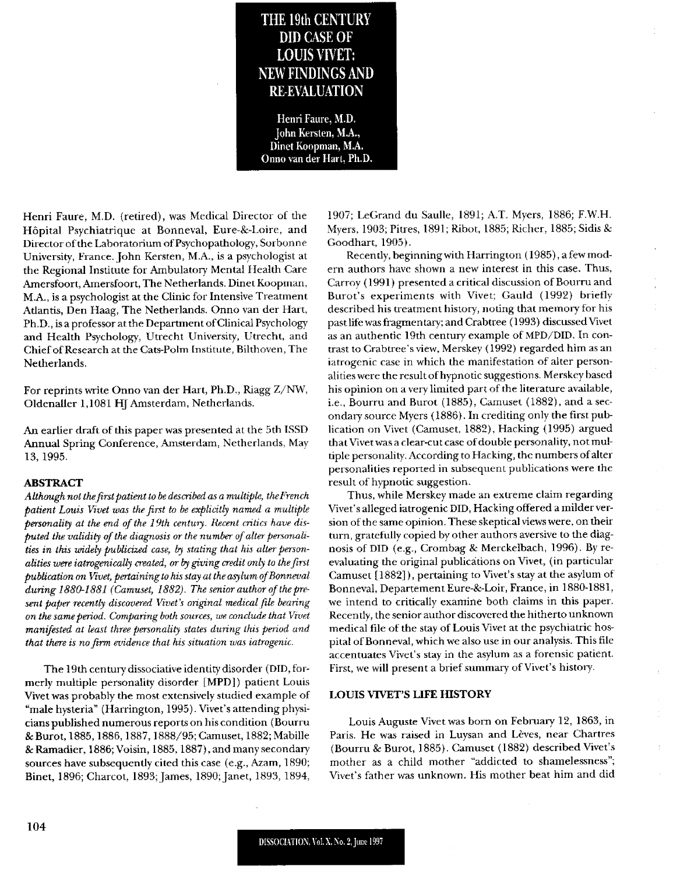

John Kersten, M.A., Dinet Koopman, M.A. Onno van der Hart, Ph.D.

Henri Faure, M.D. (retired), was Medical Director of the Hôpital Psychiatrique at Bonneval, Eure-&-Loire, and Director of the Laboratorium of Psychopathology, Sorbonne University, France . John Kersten, M.A., is a psychologist at the Regional Institute for Ambulatory Mental Health Care Amersfoort, Amersfoort, The Netherlands. Dinet Koopman, M.A., is a psychologist at the Clinic for Intensive Treatment Atlantis, Den Haag, The Netherlands. Onno van der Hart, Ph.D., is a professor at the Department of Clinical Psychology and Health Psychology, Utrecht University, Utrecht, and Chief of Research at the Cats-Polm Institute, Bilthoven, The Netherlands.

For reprints write Onno van der Hart, Ph .D., Riagg Z/NW, Oldenaller 1,1081 HJ Amsterdam, Netherlands.

An earlier draft of this paper was presented at the 5th ISSD Annual Spring Conference, Amsterdam, Netherlands, May 13, 1995.

## **ABSTRACT**

*Although not the first patient to be described as a multiple, the French patient Louis Vivet was the first to be explicitly named a multiple personality at the end of the 19th century . Recent critics have disputed the validity of the diagnosis or the number of alter personalities in this widely publicized case, by stating that his alter personalities were iatrogenically created, or by giving credit only to the first publication on Vivet, pertaining to his stay at the asylum of Bonneval during 1880-1881 (Camuset, 1882). The senior author of the present paper recently discovered Vivet's original medical file bearing on the same period . Comparing both sources, we conclude that Vivet manifested at least three personality states during this period and that there is no firm evidence that his situation was iatrogenic.*

The 19th century dissociative identity disorder (DID, formerly multiple personality disorder [MPD]) patient Louis Vivet was probably the most extensively studied example of "male hysteria" (Harrington, 1995). Vivet's attending physicians published numerous reports on his condition (Bourru & Burot, 1885, 1886, 1887, 1888/95 ; Camuset, 1882 ; Mabille & Ramadier, 1886 ; Voisin, 1885, 1887), and many secondary sources have subsequently cited this case (e.g., Azam, 1890; Binet, 1896; Charcot, 1893 ; James, 1890; Janet, 1893, 1894,

1907; LeGrand du Saulle, 1891; A.T. Myers, 1886; F.W.H. *Myers, 1903; Pitres, 1891 ; Ribot, 1885 ; Richer, 1885 ; Sidis & Goodhart, 1905).*

Recently, beginning with Harrington (1985) , a few modern authors have shown a new interest in this case . Thus, Carroy (1991) presented a critical discussion of Bourru and Burot's experiments with Vivet; Gauld (1992) briefly described his treatment history, noting that memory for his past life was fragmentary; and Crabtree (1993) discussed Vivet as an authentic 19th century example of MPD/DID . In contrast to Crabtree's view, Merskey (1992) regarded him as an iatrogenic case in which the manifestation of alter personalities were the result of hypnotic suggestions. Merskey based his opinion on a very limited part of the literature available, i.e., Bourru and Burot (1885), Camuset (1882), and a secondary source Myers (1886) . In crediting only the first publication on Vivet (Camuset, 1882), Hacking (1995) argued that Vivet was a clear-cut case of double personality, not multiple personality. According to Hacking, the numbers of alter personalities reported in subsequent publications were the result of hypnotic suggestion.

Thus, while Merskey made an extreme claim regarding Vivet's alleged iatrogenic DID, Hacking offered a milder version of the same opinion. These skeptical views were, on their turn, gratefully copied by other authors aversive to the diagnosis of DID (e .g., Crombag & Merckelbach, 1996) . By reevaluating the original publications on Vivet, (in particular Camuset [1882] ), pertaining to Vivet's stay at the asylum of Bonneval, Departement Eure-&-Loir, France, in 1880-1881, we intend to critically examine both claims in this paper. Recently, the senior author discovered the hitherto unknown medical file of the stay of Louis Vivet at the psychiatric hospital of Bonneval, which we also use in our analysis. This file accentuates Vivet's stay in the asylum as a forensic patient. First, we will present a brief summary of Vivet's history.

### **LOUIS VIVET'S LIFE HISTORY**

Louis Auguste Vivet was born on February 12, 1863, in Paris. He was raised in Luysan and Lèves, near Chartres (Bourru & Burot, 1885) . Camuset (1882) described Vivet's mother as a child mother "addicted to shamelessness"; Vivet's father was unknown . His mother beat him and did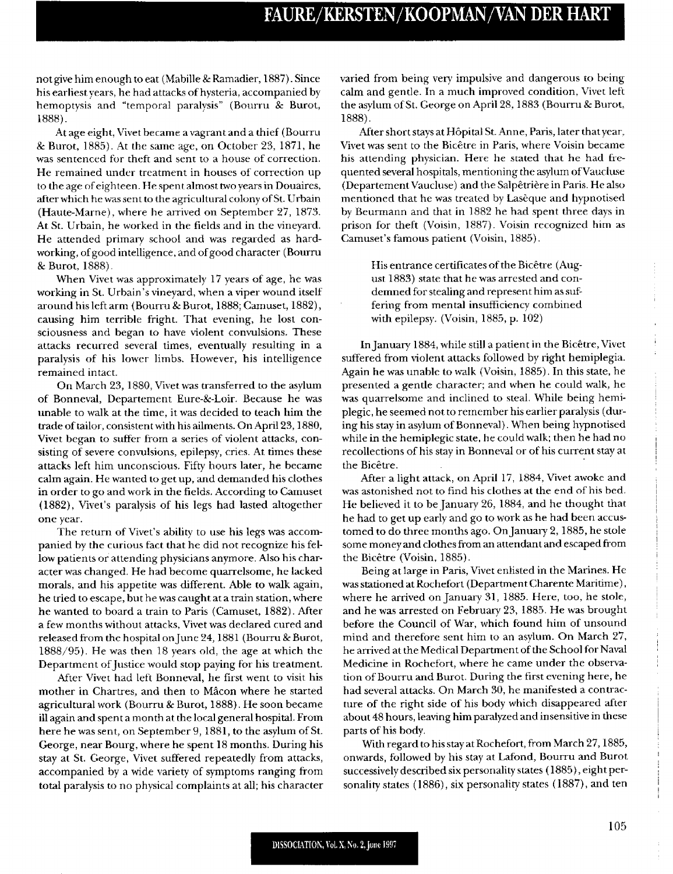not give him enough to eat (Mabille & Ramadier, 1887) . Since his earliest years, he had attacks of hysteria, accompanied by hemoptysis and "temporal paralysis" (Bourru & Burot, 1888).

At age eight, Vivet became a vagrant and a thief (Bourru & Burot, 1885) . At the same age, on October 23, 1871, he was sentenced for theft and sent to a house of correction. He remained under treatment in houses of correction up to the age of eighteen. He spent almost two years in Douaires, after which he was sent to the agricultural colony of St. Urbain (Haute-Marne), where he arrived on September 27, 1873. At St. Urbain, he worked in the fields and in the vineyard. He attended primary school and was regarded as hardworking, of good intelligence, and of good character (Bourru & Burot, 1888).

When Vivet was approximately 17 years of age, he was working in St. Urbain's vineyard, when a viper wound itself around his left arm (Bourru & Burot, 1888 ; Camuset, 1882) , causing him terrible fright. That evening, he lost consciousness and began to have violent convulsions. These attacks recurred several times, eventually resulting in a paralysis of his lower limbs. However, his intelligence remained intact.

On March 23, 1880, Vivet was transferred to the asylum of Bonneval, Departement Eure-&-Loir. Because he was unable to walk at the time, it was decided to teach him the trade of tailor, consistent with his ailments . On April 23, 1880, Vivet began to suffer from a series of violent attacks, consisting of severe convulsions, epilepsy, cries. At times these attacks left him unconscious. Fifty hours later, he became calm again . He wanted to get up, and demanded his clothes in order to go and work in the fields. According to Camuset (1882), Vivet's paralysis of his legs had lasted altogether one year.

The return of Vivet's ability to use his legs was accompanied by the curious fact that he did not recognize his fellow patients or attending physicians anymore . Also his character was changed. He had become quarrelsome, he lacked morals, and his appetite was different. Able to walk again, he tried to escape, but he was caught at a train station, where he wanted to board a train to Paris (Camuset, 1882) . After a few months without attacks, Vivet was declared cured and released from the hospital on June 24, 1881 (Bourru & Burot, 1888/95) . He was then 18 years old, the age at which the Department of Justice would stop paying for his treatment.

After Vivet had left Bonneval, he first went to visit his mother in Chartres, and then to Macon where he started agricultural work (Bourru & Burot, 1888) . He soon became ill again and spent a month at the local general hospital . From here he was sent, on September 9, 1881, to the asylum of St. George, near Bourg, where he spent 18 months . During his stay at St. George, Vivet suffered repeatedly from attacks, accompanied by a wide variety of symptoms ranging from total paralysis to no physical complaints at all; his character

varied from being very impulsive and dangerous to being calm and gentle. In a much improved condition, Vivet left the asylum of St. George on April 28, 1883 (Bourru & Burot, 1888).

After short stays at Hôpital St. Anne, Paris, later that year, Vivet was sent to the Bicetre in Paris, where Voisin became his attending physician. Here he stated that he had frequented several hospitals, mentioning the asylum of Vaucluse (Departement Vaucluse) and the Salpêtrière in Paris. He also mentioned that he was treated by Laseque and hypnotised by Beurmann and that in 1882 he had spent three days in prison for theft (Voisin, 1887) . Voisin recognized him as Camuset's famous patient (Voisin, 1885).

> His entrance certificates of the Bicetre (August 1883) state that he was arrested and condemned for stealing and represent him as suffering from mental insufficiency combined with epilepsy. (Voisin, 1885, p. 102)

In January 1884, while still a patient in the Bicetre, Vivet suffered from violent attacks followed by right hemiplegia. Again he was unable to walk (Voisin, 1885) . In this state, he presented a gentle character; and when he could walk, he was quarrelsome and inclined to steal. While being hemiplegic, he seemed not to remember his earlier paralysis (during his stay in asylum of Bonneval) . When being hypnotised while in the hemiplegic state, he could walk; then he had no recollections of his stay in Bonneval or of his current stay at the Bicêtre.

After a light attack, on April 17, 1884, Vivet awoke and was astonished not to find his clothes at the end of his bed. He believed it to be January 26, 1884, and he thought that he had to get up early and go to work as he had been accustomed to do three months ago . On January 2, 1885, he stole some money and clothes from an attendant and escaped from the Bicêtre (Voisin, 1885).

Being at large in Paris, Vivet enlisted in the Marines . He was stationed at Rochefort (Department Charente Maritime) , where he arrived on January 31, 1885. Here, too, he stole, and he was arrested on February 23, 1885. He was brought before the Council of War, which found him of unsound mind and therefore sent him to an asylum. On March 27, he arrived at the Medical Department of the School for Naval Medicine in Rochefort, where he came under the observation of Bourru and Burot. During the first evening here, he had several attacks. On March 30, he manifested a contracture of the right side of his body which disappeared after about 48 hours, leaving him paralyzed and insensitive in these parts of his body.

With regard to his stay at Rochefort, from March 27, 1885, onwards, followed by his stay at Lafond, Bourru and Burot successively described six personality states (1885) , eight personality states (1886), six personality states (1887), and ten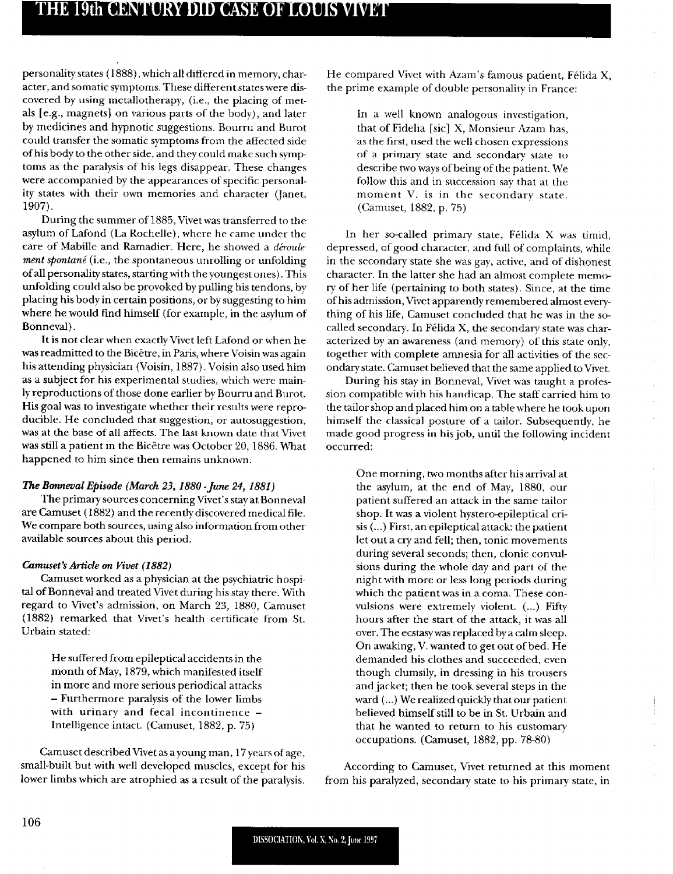personality states (1888) , which all differed in memory, character, and somatic symptoms. These different states were discovered by using metallotherapy, (i.e., the placing of metals [e.g., magnets] on various parts of the body), and later by medicines and hypnotic suggestions. Bourru and Burot could transfer the somatic symptoms from the affected side of his body to the other side, and they could make such symptoms as the paralysis of his legs disappear. These changes were accompanied by the appearances of specific personality states with their own memories and character (Janet, 1907).

During the summer of 1885, Vivet was transferred to the asylum of Lafond (La Rochelle), where he came under the care of Mabille and Ramadier. Here, he showed a déroulement spontané (i.e., the spontaneous unrolling or unfolding of all personality states, starting with the youngest ones) . This unfolding could also be provoked by pulling his tendons, by placing his body in certain positions, or by suggesting to him where he would find himself (for example, in the asylum of Bonneval).

It is not clear when exactly Vivet left Lafond or when he was readmitted to the Bicetre, in Paris, where Voisin was again his attending physician (Voisin, 1887) . Voisin also used him as a subject for his experimental studies, which were mainly reproductions of those done earlier by Bourru and Burot. His goal was to investigate whether their results were reproducible. He concluded that suggestion, or autosuggestion, was at the base of all affects. The last known date that Vivet was still a patient in the Bicêtre was October 20, 1886. What happened to him since then remains unknown.

## *The Bonneval Episode (March 23, 1880 -June 24, 1881)*

**The primary sources concerning Vivet's stay at Bonneval are Camuset (1882) and the recently discovered medical file. We compare both sources, using also information from other available sources about this period.**

### *Camuset's Article on Vivet (1882)*

Camuset worked as a physician at the psychiatric hospital of Bonneval and treated Vivet during his stay there. With regard to Vivet's admission, on March 23, 1880, Camuset (1882) remarked that Vivet's health certificate from St. Urbain stated:

> He suffered from epileptical accidents in the month of May, 1879, which manifested itself in more and more serious periodical attacks - Furthermore paralysis of the lower limbs with urinary and fecal incontinence -Intelligence intact. (Camuset, 1882, p. 75)

Camuset described Vivet as a young man, 17 years of age, small-built but with well developed muscles, except for his lower limbs which are atrophied as a result of the paralysis. He compared Vivet with Azam's famous patient, Félida X, the prime example of double personality in France:

> In a well known analogous investigation, that of Fidelia [sic] X, Monsieur Azam has, as the first, used the well chosen expressions of a primary state and secondary state to describe two ways of being of the patient. We follow this and in succession say that at the moment V. is in the secondary state. (Camuset, 1882, p. 75)

In her so-called primary state, Felida X was timid, depressed, of good character, and full of complaints, while in the secondary state she was gay, active, and of dishonest character. In the latter she had an almost complete memory of her life (pertaining to both states) . Since, at the time of his admission, Vivet apparently remembered almost everything of his life, Camuset concluded that he was in the socalled secondary. In Félida X, the secondary state was characterized by an awareness (and memory) of this state only, together with complete amnesia for all activities of the secondary state . Camuset believed that the same applied to Vivet.

During his stay in Bonneval, Vivet was taught a profession compatible with his handicap . The staff carried him to the tailor shop and placed him on a table where he took upon himself the classical posture of a tailor. Subsequently, he made good progress in his job, until the following incident occurred:

One morning, two months after his arrival at the asylum, at the end of May, 1880, our patient suffered an attack in the same tailor shop. It was a violent hystero-epileptical cri $s$ is  $(...)$  First, an epileptical attack: the patient let out a cry and fell; then, tonic movements during several seconds; then, clonic convulsions during the whole day and part of the night with more or less long periods during which the patient was in a coma. These convulsions were extremely violent. (...) Fifty hours after the start of the attack, it was all over. The ecstasy was replaced by a calm sleep. On awaking, V. wanted to get out of bed . He demanded his clothes and succeeded, even though clumsily, in dressing in his trousers and jacket; then he took several steps in the ward (...) We realized quickly that our patient believed himself still to be in St . Urbain and that he wanted to return to his customary occupations. (Camuset, 1882, pp . 78-80)

According to Camuset, Vivet returned at this moment from his paralyzed, secondary state to his primary state, in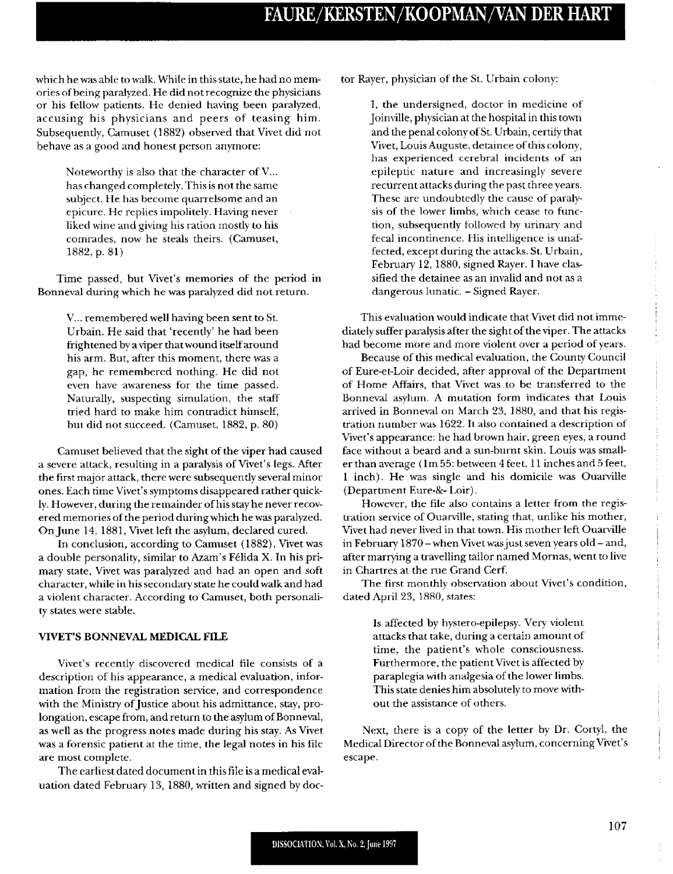which he was able to walk. While in this state, he had no memories of being paralyzed . He did not recognize the physicians or his fellow patients . He denied having been paralyzed, accusing his physicians and peers of teasing him. Subsequently, Camuset (1882) observed that Vivet did not behave as a good and honest person anymore :

> Noteworthy is also that the character of V... has changed completely. This is not the same subject. He has become quarrelsome and an epicure. He replies impolitely . Having never liked wine and giving his ration mostly to his comrades, now he steals theirs. (Camuset, 1882, p. 81)

Time passed, but Vivet's memories of the period in Bonneval during which he was paralyzed did not return.

> V... remembered well having been sent to St. Urbain. He said that `recently' he had been frightened by a viper that wound itself around his arm. But, after this moment, there was a gap, he remembered nothing . He did not even have awareness for the time passed. Naturally, suspecting simulation, the staff tried hard to make him contradict himself, but did not succeed . (Camuset, 1882, p. 80)

Camuset believed that the sight of the viper had caused a severe attack, resulting in a paralysis of Vivet's legs . After the first major attack, there were subsequently several minor ones. Each time Vivet's symptoms disappeared rather quickly. However, during the remainder of his stay he never recovered memories of the period during which he was paralyzed. On June 14, 1881, Vivet left the asylum, declared cured.

In conclusion, according to Camuset (1882), Vivet was a double personality, similar to Azam's Felida X. In his primary state, Vivet was paralyzed and had an open and soft character, while in his secondary state he could walk and had a violent character. According to Camuset, both personality states were stable.

## **VIVET'S BONNEVAL MEDICAL FILE**

Vivet's recently discovered medical file consists of a description of his appearance, a medical evaluation, information from the registration service, and correspondence with the Ministry of justice about his admittance, stay, prolongation, escape from, and return to the asylum of Bonneval, as well as the progress notes made during his stay . As Vivet was a forensic patient at the time, the legal notes in his file are most complete.

The earliest dated document in this file is a medical evaluation dated February 13, 1880, written and signed by doctor Rayer, physician of the St. Urbain colony:

1, the undersigned, doctor in medicine of Joinville, physician at the hospital in this town and the penal colony of St. Urbain, certify that Vivet, Louis Auguste, detainee of this colony, has experienced cerebral incidents of an epileptic nature and increasingly severe recurrent attacks during the past three years. These are undoubtedly the cause of paralysis of the lower limbs, which cease to function, subsequently followed by urinary and fecal incontinence . His intelligence is unaffected, except during the attacks. St. Urbain, February 12, 1880, signed Rayer . I have classified the detainee as an invalid and not as a dangerous lunatic. - Signed Rayer.

This evaluation would indicate that Vivet did not immediately suffer paralysis after the sight of the viper. The attacks had become more and more violent over a period of years.

Because of this medical evaluation, the County Council of Eure-et-Loir decided, after approval of the Department of Home Affairs, that Vivet was to be transferred to the Bonneval asylum. A mutation form indicates that Louis arrived in Bonneval on March 23, 1880, and that his registration number was 1622 . It also contained a description of Vivet's appearance : he had brown hair, green eyes, a round face without a beard and a sun-burnt skin. Louis was smaller than average (lm 55: between 4 feet, 11 inches and 5 feet, 1 inch) . He was single and his domicile was Ouarville (Department Eure-&- Loir).

However, the file also contains a letter from the registration service of Ouarville, stating that, unlike his mother, Vivet had never lived in that town. His mother left Ouarville in February 1870 – when Vivet was just seven years old – and, after marrying a travelling tailor named Mornas, went to live in Chartres at the rue Grand Cerf.

The first monthly observation about Vivet's condition, dated April 23, 1880, states:

> Is affected by hystero-epilepsy. Very violent attacks that take, during a certain amount of time, the patient's whole consciousness. Furthermore, the patient Vivet is affected by paraplegia with analgesia of the lower limbs. This state denies him absolutely to move without the assistance of others.

Next, there is a copy of the letter by Dr. Cortyl, the Medical Director of the Bonneval asylum, concerning Vivet's escape.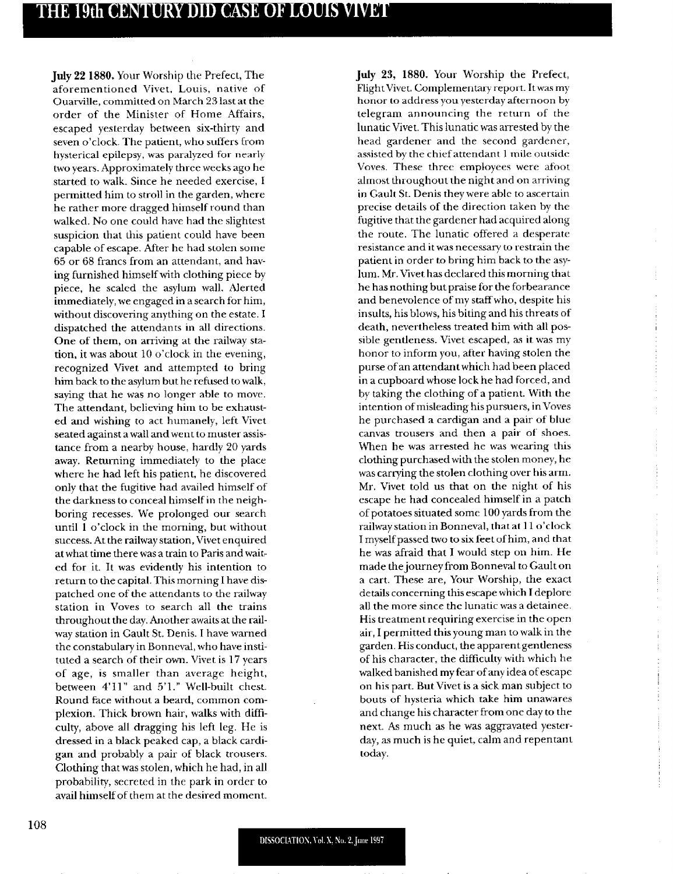**July 22 1880, Your Worship the Prefect, The aforementioned Vivet, Louis, native of Ouarville, committed on March 23 last at the order of the Minister of Home Affairs, escaped yesterday between six-thirty and seven o'clock . The patient, who suffers from hysterical epilepsy, was paralyzed** for nearly two years. Approximately three weeks ago he started to walk. Since he needed exercise, I permitted him to stroll in the garden, where he rather more dragged himself round than walked. No one could have had the slightest suspicion that this patient could have been capable of escape . After he had stolen some 65 or 68 francs from an attendant, and having furnished himself with clothing piece by piece, he scaled the asylum wall. Alerted immediately, we engaged in a search for him, without discovering anything on the estate. I dispatched the attendants in all directions. One of them, on arriving at the railway station, it was about 10 o'clock in the evening, recognized Vivet and attempted to bring him back to the asylum but he refused to walk, saying that he was no longer able to move. The attendant, believing him to be exhausted and wishing to act humanely, left Vivet seated against a wall and went to muster assistance from a nearby house, hardly 20 yards away. Returning immediately to the place where he had left his patient, he discovered only that the fugitive had availed himself of the darkness to conceal himself in the neighboring recesses . We prolonged our search until 1 o'clock in the morning, but without success. At the railway station, Vivet enquired at what time there was a train to Paris and waited for it. It was evidently his intention to return to the capital. This morning I have dispatched one of the attendants to the railway station in Voves to search all the trains throughout the day. Another awaits at the railway station in Gault St. Denis. I have warned the constabulary in Bonneval, who have instituted a search of their own. Vivet is 17 years of age, is smaller than average height, between 4'11" and 5'1." Well-built chest. Round face without a beard, common complexion. Thick brown hair, walks with difficulty, above all dragging his left leg . He is dressed in a black peaked cap, a black cardigan and probably a pair of black trousers. Clothing that was stolen, which he had, in all probability, secreted in the park in order to avail himself of them at the desired moment.

**July 23, 1880. Your Worship the Prefect, Flight Vivet. Complementary report It was my honor to address you yesterday afternoon by telegram announcing the return of the lunatic Vivet. This lunatic was arrested by the head gardener and the second gardener, assisted by the chief attendant I mile outside Voves. These three employees were afoot almost throughout the night and on arriving in Gault St. Denis they were able to ascertain precise details of the direction taken by the fugitive that the gardener had acquired along the route. The lunatic offered a desperate resistance and it was necessary to restrain the patient in order to bring him back to the asylum. Mr . Vivet has declared this morning that he has nothing but praise for the forbearance and benevolence of my staff who, despite his insults, his blows, his biting and his threats of death, nevertheless treated him with all possible gentleness. Vivet escaped, as it was my honor to inform you, after having stolen the purse of an attendant which had been placed in a cupboard whose lock he had forced, and by taking the clothing of a patient. With the intention of misleading his pursuers, in Voves he purchased a cardigan and a pair of blue canvas trousers and then a pair of shoes. When he was arrested he was wearing this clothing purchased with the stolen money, he was carrying the stolen clothing over his arm. Mr . Vivet told us that on the night of his escape he had concealed himself in a patch of potatoes situated some 100 yards from the railway station in Bonneval, that at 11 o'clock I myself passed two to six feet of him, and that he was afraid that I would step on him . He made the journey from Bonneval to Gault on a cart. These are, Your Worship, the exact details concerning this escape which I deplore all the more since the lunatic was a detainee. His treatment requiring exercise in the open air, I permitted this young man to walk in the garden . His conduct, the apparent gentleness of his character, the difficulty with which he walked banished my fear of any idea of escape on his part. But Vivet is a sick man subject to bouts of hysteria which take him unawares and change his character from one day to the next. As much as he was aggravated yesterday, as much is he quiet, calm and repentant today.**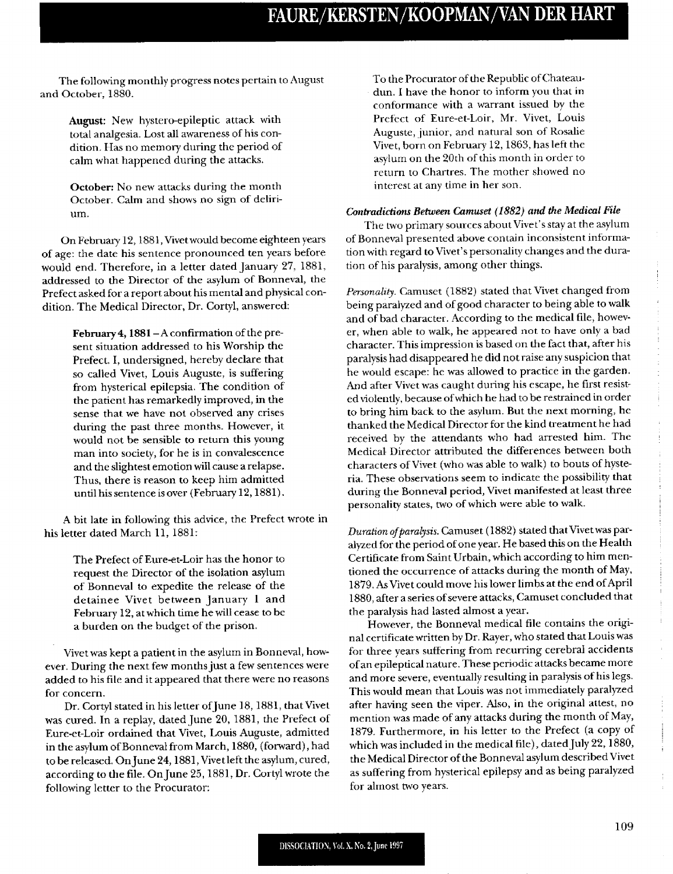The following monthly progress notes pertain to August and October, 1880.

**August: New hystero-epileptic attack with total analgesia. Lost all awareness of his condition. Has no memory during the period of calm what happened during the attacks.**

**October:** No new attacks during the month **October . Calm and shows no sign of delirium.**

On February 12, 1881, Vivet would become eighteen years of age: the date his sentence pronounced ten years before would end. Therefore, in a letter dated January 27, 1881, addressed to the Director of the asylum of Bonneval, the Prefect asked for a report about his mental and physical condition. The Medical Director, Dr. Cortyl, answered:

> **February 4, 1881-Aconfirmation of the present situation addressed to his Worship the Prefect. I, undersigned, hereby declare that so called Vivet, Louis Auguste, is suffering from hysterical epilepsia . The condition of the patient has remarkedly improved, in the sense that we have not observed any crises during the past three months. However, it would not be sensible to return this young man into society, for he is in convalescence and the slightest emotion will cause a relapse. Thus, there is reason to keep him admitted until his sentence is over (February 12, 1881) .**

A bit late in following this advice, the Prefect wrote in his letter dated March 11, 1881:

> The Prefect of Eure-et-Loir has the honor to request the Director of the isolation asylum of Bonneval to expedite the release of the detainee Vivet between January 1 and February 12, at which time he will cease to be a burden on the budget of the prison.

Vivet was kept a patient in the asylum in Bonneval, however. During the next few months just a few sentences were added to his file and it appeared that there were no reasons for concern.

Dr. Cortyl stated in his letter of June 18, 1881, that Vivet was cured. In a replay, dated June 20, 1881, the Prefect of Eure-et-Loir ordained that Vivet, Louis Auguste, admitted in the asylum of Bonneval from March, 1880, (forward), had to be released. On June 24, 1881, Vivet left the asylum, cured, according to the file. On June 25, 1881, Dr. Cortyl wrote the following letter to the Procurator:

To the Procurator of the Republic of Chateaudun. I have the honor to inform you that in conformance with a warrant issued by the Prefect of Eure-et-Loir, Mr. Vivet, Louis Auguste, junior, and natural son of Rosalie Vivet, born on February 12, 1863, has left the asylum on the 20th of this month in order to return to Chartres. The mother showed no interest at any time in her son.

## *Contradictions Between Camuset (1882) and the Medical File*

The two primary sources about Vivet's stay at the asylum of Bonneval presented above contain inconsistent information with regard to Vivet's personality changes and the duration of his paralysis, among other things.

*Personality. Camuset (1882) stated that Vivet changed from being paralyzed and of good character to being able to walk and of bad character. According to the medical file, however, when able to walk, he appeared not to have only a bad character. This impression is based on the fact that, after his paralysis had disappeared he did not raise any suspicion that he would escape : he was allowed to practice in the garden. And after Vivet was caught during his escape, he first resisted violently, because of which he had to be restrained in order to bring him back to the asylum. But the next morning, he thanked the Medical Director for the kind treatment he had received by the attendants who had arrested him. The Medical Director attributed the differences between both characters of Vivet (who was able to walk) to bouts of hysteria. These observations seem to indicate the possibility that during the Bonneval period, Vivet manifested at least three personality states, two of which were able to walk.*

*Duration of paralysis. Camuset (1882) stated that Vivetwas paralyzed for the period of one year. He based this on the Health Certificate from Saint Urbain, which according to him mentioned the occurrence of attacks during the month of May, 1879. As Vivet could move his lower limbs at the end of April 1880, after a series of severe attacks, Camuset concluded that the paralysis had lasted almost a year.*

However, the Bonneval medical file contains the original certificate written by Dr. Rayer, who stated that Louis was for three years suffering from recurring cerebral accidents of an epileptical nature . These periodic attacks became more and more severe, eventually resulting in paralysis of his legs. This would mean that Louis was not immediately paralyzed after having seen the viper. Also, in the original attest, no mention was made of any attacks during the month of May, 1879. Furthermore, in his letter to the Prefect (a copy of which was included in the medical file), dated July 22, 1880, the Medical Director of the Bonneval asylum described Vivet as suffering from hysterical epilepsy and as being paralyzed for almost two years.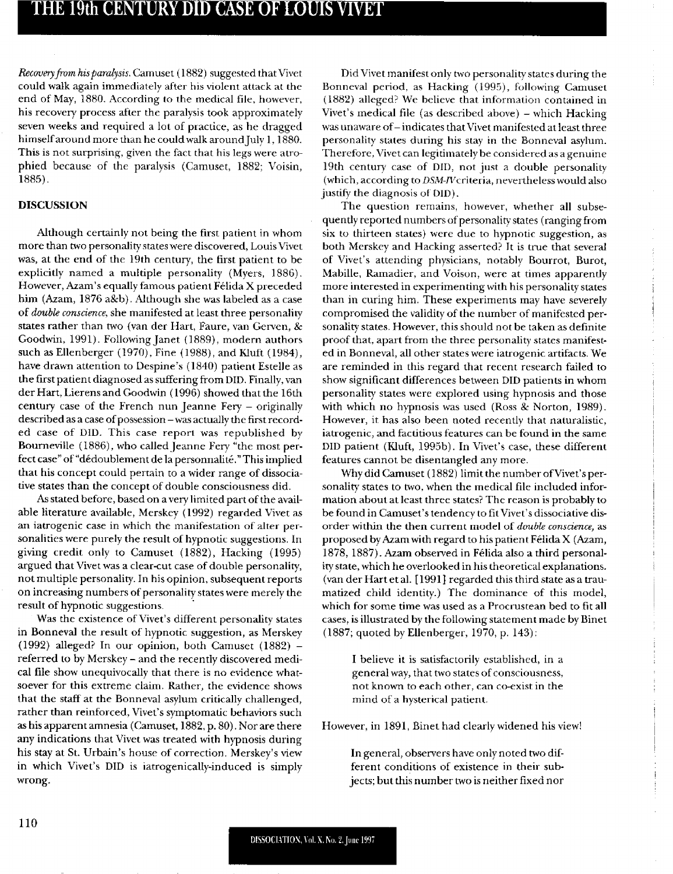*Recovery from his paralysis. Camuset (1882) suggested that Vivet could walk again immediately after his violent attack at the end of May, 1880 . According to the medical file, however, his recovery process after the paralysis took approximately seven weeks and required a lot of practice, as he dragged himself around more than he could walk around July 1, 1880. This is not surprising, given the fact that his legs were atrophied because of the paralysis (Camuset, 1882; Voisin, 1885).*

## **DISCUSSION**

Although certainly not being the first patient in whom more than two personality states were discovered, Louis Vivet was, at the end of the 19th century, the first patient to be explicitly named a multiple personality (Myers, 1886) . However, Azam's equally famous patient Félida X preceded him (Azam, 1876 a&b) . Although she was labeled as a case *of double conscience, she manifested at least three personality states rather than two (van der Hart, Faure, van Gerven, & Goodwin, 1991) . Following Janet (1889), modern authors such as Ellenberger (1970), Fine (1988), and Kluft (1984), have drawn attention to Despine's (1840) patient Estelle as the first patient diagnosed as suffering from DID . Finally, van der Hart, Lierens and Goodwin (1996) showed that the 16th century case of the French nun Jeanne Fery - originally described as a case of possession -was actually the first recorded case of DID. This case report was republished by Bourneville (1886), who called Jeanne Fery "the most perfect case" of "dedoublement de la personnalite ."This implied that his concept could pertain to a wider range of dissociative states than the concept of double consciousness did.*

As stated before, based on a very limited part of the available literature available, Merskey (1992) regarded Vivet as an iatrogenic case in which the manifestation of alter personalities were purely the result of hypnotic suggestions. In giving credit only to Camuset (1882), Hacking (1995) argued that Vivet was a clear-cut case of double personality, not multiple personality . In his opinion, subsequent reports on increasing numbers of personality states were merely the result of hypnotic suggestions.

Was the existence of Vivet's different personality states in Bonneval the result of hypnotic suggestion, as Merskey (1992) alleged? In our opinion, both Camuset (1882) referred to by Merskey - and the recently discovered medical file show unequivocally that there is no evidence whatsoever for this extreme claim. Rather, the evidence shows that the staff at the Bonneval asylum critically challenged, rather than reinforced, Vivet's symptomatic behaviors such as his apparent amnesia (Camuset, 1882, p. 80) . Nor are there any indications that Vivet was treated with hypnosis during his stay at St. Urbain's house of correction . Merskey's view in which Vivet's DID is iatrogenically-induced is simply wrong.

Did Vivet manifest only two personality states during the Bonneval period, as Hacking (1995), following Camuset (1882) alleged? We believe that information contained in Vivet's medical file (as described above) - which Hacking was unaware of- indicates that Vivet manifested at least three personality states during his stay in the Bonneval asylum. Therefore, Vivet can legitimately be considered as a genuine 19th century case of DID, not just a double personality (which, according to DSM-IVcriteria, nevertheless would also justify the diagnosis of DID).

The question remains, however, whether all subsequently reported numbers of personality states (ranging from six to thirteen states) were due to hypnotic suggestion, as both Merskey and Hacking asserted? It is true that several of Vivet's attending physicians, notably Bourrot, Burot, Mabille, Ramadier, and Voison, were at times apparently more interested in experimenting with his personality states than in curing him. These experiments may have severely compromised the validity of the number of manifested personality states. However, this should not be taken as definite proof that, apart from the three personality states manifested in Bonneval, all other states were iatrogenic artifacts. We are reminded in this regard that recent research failed to show significant differences between DID patients in whom personality states were explored using hypnosis and those with which no hypnosis was used (Ross & Norton, 1989). However, it has also been noted recently that naturalistic, iatrogenic, and factitious features can be found in the same DID patient (Kluft, 1995b) . In Vivet's case, these different features cannot be disentangled any more.

Why did Camuset (1882) limit the number of Vivet's personality states to two, when the medical file included information about at least three states? The reason is probably to be found in Camuset's tendency to fit Vivet's dissociative disorder within the then current model *of double conscience, as proposed by Azam with regard to his patient Felida X (Azam, 1878, 1887) . Azam observed in Felida also a third personality state, which he overlooked in his theoretical explanations. (van der Hart et al. [19911 regarded this third state as a traumatized child identity .) The dominance of this model, which for some time was used as a Procrustean bed to fit all cases, is illustrated by the following statement made by Binet (1887; quoted by Ellenberger, 1970, p. 143):*

> I believe it is satisfactorily established, in a general way, that two states of consciousness, not known to each other, can co-exist in the mind of a hysterical patient.

However, in 1891, Binet had clearly widened his view!

In general, observers have only noted two different conditions of existence in their subjects; but this number two is neither fixed nor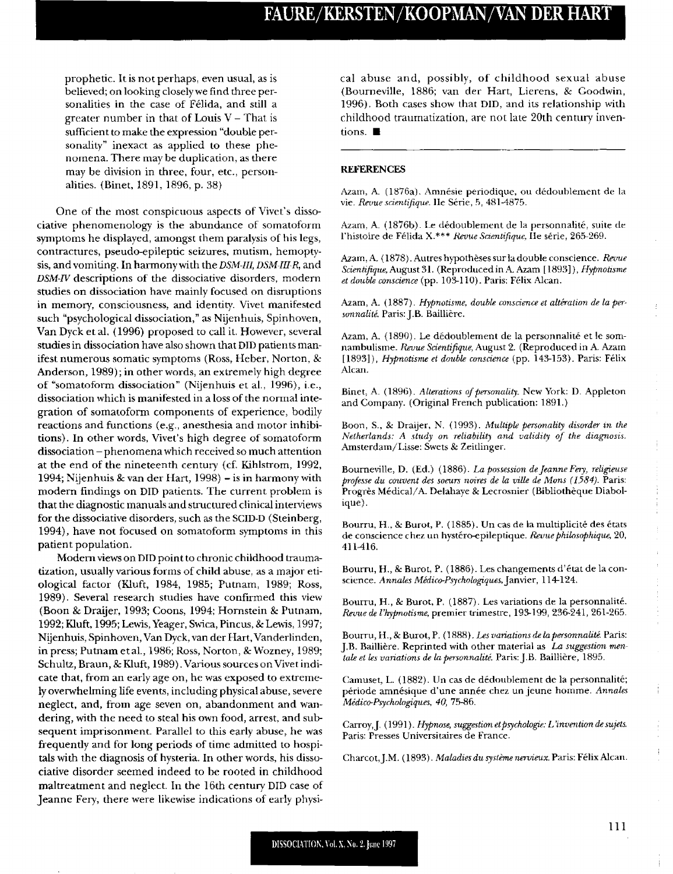prophetic . It is not perhaps, even usual, as is believed; on looking closely we find three personalities in the case of Félida, and still a greater number in that of Louis  $V - That$  is sufficient to make the expression "double personality" inexact as applied to these phenomena. There may be duplication, as there may be division in three, four, etc., personalities. (Binet, 1891, 1896, p. 38)

One of the most conspicuous aspects of Vivet's dissociative phenomenology is the abundance of somatoform symptoms he displayed, amongst them paralysis of his legs, contractures, pseudo-epileptic seizures, mutism, hemoptysis, and vomiting. In harmony with the DSM-III, DSM-III-R, and *DSM-IV descriptions of the dissociative disorders, modern studies on dissociation have mainly focused on disruptions in memory, consciousness, and identity. Vivet manifested such "psychological dissociation," as Nijenhuis, Spinhoven, Van Dyck et al . (1996) proposed to call it. However, several studies in dissociation have also shown that DID patients manifest numerous somatic symptoms (Ross, Heber, Norton, & Anderson, 1989) ; in other words, an extremely high degree of " somatoform dissociation " (Nijenhuis et al., 1996), i.e., dissociation which is manifested in a loss of the normal integration of somatoform components of experience, bodily reactions and functions (e.g., anesthesia and motor inhibitions) . In other words, Vivet 's high degree of somatoform dissociation - phenomena which received so much attention at the end of the nineteenth century (cf. Kihlstrom, 1992, 1994; Nijenhuis & van der Hart, 1998) - is in harmony with modern findings on DID patients. The current problem is that the diagnostic manuals and structured clinical interviews for the dissociative disorders, such as the SCID-D (Steinberg, 1994), have not focused on somatoform symptoms in this patient population.*

Modern views on DID point to chronic childhood trauma tization, usually various forms of child abuse, as a major etiological factor (Kluft, 1984, 1985; Putnam, 1989; Ross, 1989) . Several research studies have confirmed this view (Boon & Draijer, 1993; Coons, 1994; Hornstein & Putnam, 1992; Kluft, 1995; Lewis, Yeager, Swica, Pincus, & Lewis, 1997; Nijenhuis, Spinhoven, Van Dyck, van der Hart, Vanderlinden, in press; Putnam et al., 1986; Ross, Norton, & Wozney, 1989; Schultz, Braun, & Kluft, 1989) . Various sources on Vivet indicate that, from an early age on, he was exposed to extremely overwhelming life events, including physical abuse, severe neglect, and, from age seven on, abandonment and wandering, with the need to steal his own food, arrest, and subsequent imprisonment. Parallel to this early abuse, he was frequently and for long periods of time admitted to hospitals with the diagnosis of hysteria. In other words, his dissociative disorder seemed indeed to be rooted in childhood maltreatment and neglect. In the 16th century DID case of Jeanne Fery, there were likewise indications of early physical abuse and, possibly, of childhood sexual abuse (Bourneville, 1886; van der Hart, Lierens, & Goodwin, 1996) . Both cases show that DID, and its relationship with childhood traumatization, are not late 20th century inventions.  $\blacksquare$ 

### **REFERENCES**

Azam, A. (1876a). Amnésie periodique, ou dédoublement de la vie . *Revue seientifique. IIe Serie, 5, 481-4875.*

Azam, A. (1876b). Le dédoublement de la personnalité, suite de l'histoire de Félida X.\*\*\* Revue Scientifique, He série, 265-269.

Azam, A. (1878) . Autres hypotheses sur la double conscience . *Revue Scienhfique, August 31 . (Reproduced in A. Azam* [1893] ), *Hypnotisme et double conscience* (pp. 103-110) . Paris; Felix Alcan.

Azam, A. (1887) . *Hypnotisme, double conscience et alteration de la personnalite. Paris: J.B. Bailliere.*

Azam, A. (1890). Le dédoublement de la personnalité et le somnambulisme . *Revue Scientifique, August 2. (Reproduced in A. Azam [1893]), Hypnotisme et double conscience (pp. 143-153) . Paris: Felix Alcan.*

Binet, A. (1896) . *Alterations of personality . New York : D. Appleton and Company. (Original French publication : 1891 .)*

Boon, S., & Draijer, N. (1993). *Multiple personality disorder in the Netherlands: A study on reliability and validity of the diagnosis. Amsterdam/Lisse : Swets & Zeitlinger.*

Bourneville, D. (Ed.) (1886) . *La possession de Jeanne Fery, religieuse professe du convent des soeurs noires de la ville de Mons (1584) . Paris: Progres Medical/A. Delahaye & Lecrosnier (Bibliotheque Diabolique).*

Bourru, H., & Burot, P. (1885) . Un cas de la multiplicite des etats de conscience chez un hystero-epileptique . *Revue philosophique, 20, 411-416.*

Bourru, H., & Burot, P. (1886). Les changements d'état de la conscience . *Annales Medico-Psychologiques, Janvier, 114-124.*

Bourru, H., & Burot, P. (1887). Les variations de la personnalité. *Revue de l'hypnotisme, premier trimestre, 193-199, 236-241, 261-265.*

Bourru, H ., & Burot, P. (1888) . *Les variations de la personnalite. Paris: J.B. Bailliere . Reprinted with other material as La suggestion mentale et les variations de la personnalite. Paris: J.B. Bailliere, 1895.*

Camuset, L. (1882) . Un cas de dedoublement de la personnalite; periode amnesique d'une annee chez un jeune homme . *Annales Medico-Psychologiques, 40, 75-86.*

Carroy, J. (1991) . *Hypnose, suggestion etpsychologie: L 'invention de sujets. Paris: Presses Universitaires de France.*

Charcot, J.M. (1893). *Maladies du système nervieux*. Paris: Félix Alcan.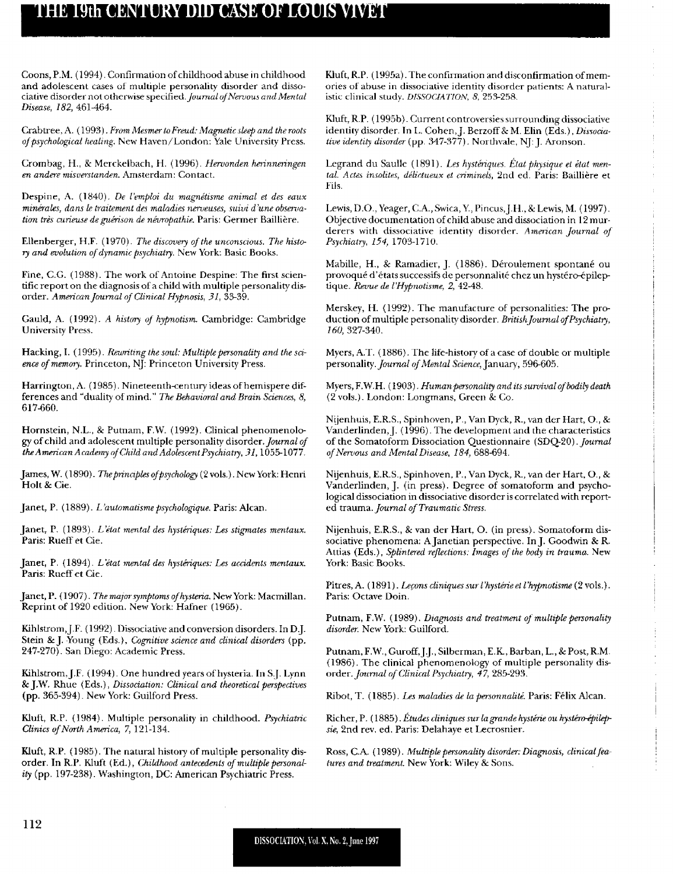# 1 N \$ 1 3 D \$ 17 F & 3 N Y N \$ 1 3 Y 4 D 1 D T & \$ 13 Y 4 D 30 K 40 U \$ 2 Y 1 Y 31

Coons, P.M. (1994) . Confirmation of childhood abuse in childhood and adolescent cases of multiple personality disorder and dissociative disorder not otherwise specified.*Journal of Nervous and Mental Disease, 182,* 461-464.

Crabtree, A. (1993) . *From Mesmer to Freud : Magnetic sleep and the roots of psychological healing.* New Haven/London: Yale University Press.

Crombag, H ., & Merckelbach, H. (1996) . *Heroonden herinneringen en and ere misverstanden .* Amsterdam : Contact.

Despine, A. (1840) . *De l'emploi du magnetisme animal et des eaux* minérales, dans le traitement des maladies nerveuses, suivi d'une observa*tion tres curieuse de guenson de nevropathie.* Paris: Germer Bailliere.

Ellenberger, H .F . (1970) . *The discovery of the unconscious. The history and evolution of dynamic psychiatry .* New York : Basic Books.

Fine, C.G. (1988). The work of Antoine Despine: The first scientific report on the diagnosis of a child with multiple personality disorder. *American journal of Clinical Hypnosis, 31,* 33-39.

Gauld, A. (1992) . A *history of hypnotism.* Cambridge: Cambridge University Press.

Hacking, I. (1995) . *Rewriting the soul: Multiple personality and the science of memory .* Princeton, NJ: Princeton University Press.

Harrington, A. (1985) . Nineteenth-century ideas of hemispere differences and "duality of mind." The Behavioral and Brain Sciences, 8, 617-660.

Hornstein, N.L., & Putnam, F.W. (1992) . Clinical phenomenology of child and adolescent multiple personality disorder. *Journal of the American Academy of Child and Adolescent Psychiatry, 31,* 1055-1077.

James, W. (1890). *The principles ofpsychology* (2 vols.) . New York : Henri Holt & Cie.

Janet, P. (1889) . *L'automatisme psychologique.* Paris: Alcan.

Janet, P. (1893) . *L'etat mental des hysteriques: Les stigmates mentaux.* Paris: Rueff et Cie.

Janet, P. (1894). *L'état mental des hystériques: Les accidents mentaux.* Paris: Rueff et Cie.

Janet, P. (1907) . *The major symptoms ofhysteria.* New York: Macmillan. Reprint of 1920 edition. New York: Hafner (1965).

Kihlstrom, J.F. (1992) . Dissociative and conversion disorders . In DJ. Stein & J. Young (Eds.), *Cognitive science and clinical disorders (pp.* 247-270). San Diego: Academic Press.

Kihlstrom, J.F. (1994). One hundred years of hysteria. In S.J. Lynn & J.W. Rhue (Eds.), *Dissociation: Clinical and theoretical perspectives* (pp. 365-394). New York: Guilford Press.

Kluft, R.P. (1984). Multiple personality in childhood. Psychiatric *Clinics of North America, 7,* 121-134.

Kluft, R.P. (1985) . The natural history of multiple personality disorder. In R.P. Kluft (Ed.), *Childhood antecedents of multiple personality* (pp. 197-238) . Washington, DC: American Psychiatric Press.

Kluft, R.P. (1995a). The confirmation and disconfirmation of memories of abuse in dissociative identity disorder patients : A naturalistic clinical study . *DISSOCIATION, 8, 253-258.*

Kluft, R.P. (1995h) . Current controversies surrounding dissociative identity disorder. In L. Cohen, J. Berzoff & M. Elin (Eds.), *Dissociative identity disorder* (pp. 347-377) . Northvale, NJ: J. Aronson.

Legrand du Saulle (1891) . *Les hysteriques. Elat physique et etat mental. Actes insolites, delietueux et criminels,* 2nd ed. Paris: Bailliere et *Fils.*

Lewis, D.O., Yeager, C.A., Swica, Y., Pincus, J.H., & Lewis, M. (1997). Objective documentation of child abuse and dissociation in 12 murderers with dissociative identity disorder. *American journal of Psychiatry, 154,* 1703-1710.

Mabille, H., & Ramadier, J. (1886). Déroulement spontané ou provoqué d'états successifs de personnalité chez un hystéro-épileptique. *Revue de l'Hypnotisme, 2, 42-48.*

Merskey, H. (1992) . The manufacture of personalities: The production of multiple personality disorder . *British journal of Psychiatry, 160, 327-340.*

Myers, A.T. (1886) . The life-history of a case of double or multiple personality. Journal *of Mental Science,* January, 596-605.

Myers, F.W.H. *(1903) . Human personality and its survival of bodily death* (2 vols.) . London : Longmans, Green & Co.

Nijenhuis, E.R.S ., Spinhoven, P ., Van Dyck, R., van der Hart, O., & Vanderlinden, J. (1996) . The development and the characteristics of the Somatoform Dissociation Questionnaire (SDQ-20) . *Journal of Nervous and Mental Disease, 184, 688-694.*

Nijenhuis, E.R.S ., Spinhoven, P., Van Dyck, R., van der Hart, O., & Vanderlinden, J. (in press). Degree of somatoform and psychological dissociation in dissociative disorder is correlated with reported trauma.*Journal of Traumatic Stress.*

Nijenhuis, E.R.S., & van der Hart, O. (in press). Somatoform dissociative phenomena: A Janetian perspective. In J. Goodwin & R. Attias (Eds.), *Splintered reflections: Images of the body in trauma.* **New York:** Basic Books.

**Pitres,** A. (1891) . *Lecons cliniques sur l 'hysterie et l 'hypnotisme (2 vols.).* Paris: Octave Doin.

Putnam, F.W. (1989) . *Diagnosis and treatment of multiple personality* disorder. New York: Guilford.

Putnam, F.W., Guroff, J.J., Silberman, E.K., Barban, L., & Post, R.M. (1986) . The clinical phenomenology of multiple personality disorder. *Journal of Clinical Psychiatry, 47, 285-293.*

Ribot, T. (1885). *Les maladies de la personnalité*. Paris: Félix Alcan.

Richer, P. (1885) . *Etudes cliniques sur la grande hysterie ou hystero-epilepsie,* 2nd rev. ed. Paris: Delahaye at Lecrosnier.

Ross, C.A. (1989) . *Multiple personality disorder: Diagnosis, clinical fea*tures and treatment. New York: Wiley & Sons.